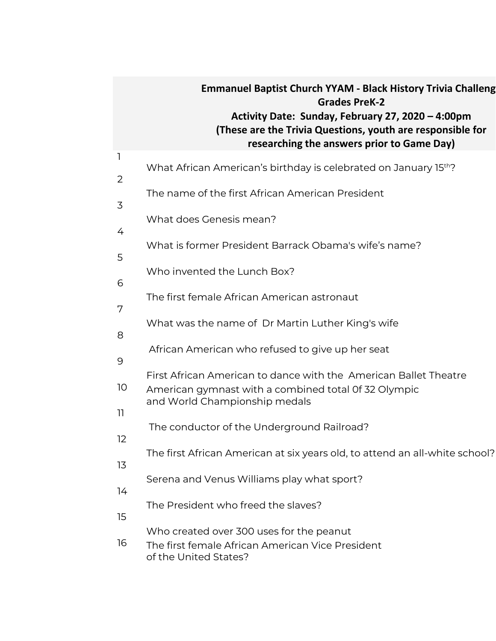## **Emmanuel Baptist Church YYAM - Black History Trivia Challenge Grades PreK-2 Activity Date: Sunday, February 27, 2020 – 4:00pm (These are the Trivia Questions, youth are responsible for researching the answers prior to Game Day)**

| $\mathbf{I}$   | What African American's birthday is celebrated on January 15th?             |
|----------------|-----------------------------------------------------------------------------|
| $\overline{2}$ |                                                                             |
| 3              | The name of the first African American President                            |
|                | What does Genesis mean?                                                     |
| 4              | What is former President Barrack Obama's wife's name?                       |
| 5              |                                                                             |
| 6              | Who invented the Lunch Box?                                                 |
|                | The first female African American astronaut                                 |
| 7              |                                                                             |
| 8              | What was the name of Dr Martin Luther King's wife                           |
| 9              | African American who refused to give up her seat                            |
|                | First African American to dance with the American Ballet Theatre            |
| 10             | American gymnast with a combined total Of 32 Olympic                        |
| 11             | and World Championship medals                                               |
| 12             | The conductor of the Underground Railroad?                                  |
|                | The first African American at six years old, to attend an all-white school? |
| 13             |                                                                             |
| 14             | Serena and Venus Williams play what sport?                                  |
|                | The President who freed the slaves?                                         |
| 15             | Who created over 300 uses for the peanut                                    |
| 16             | The first female African American Vice President<br>of the United States?   |